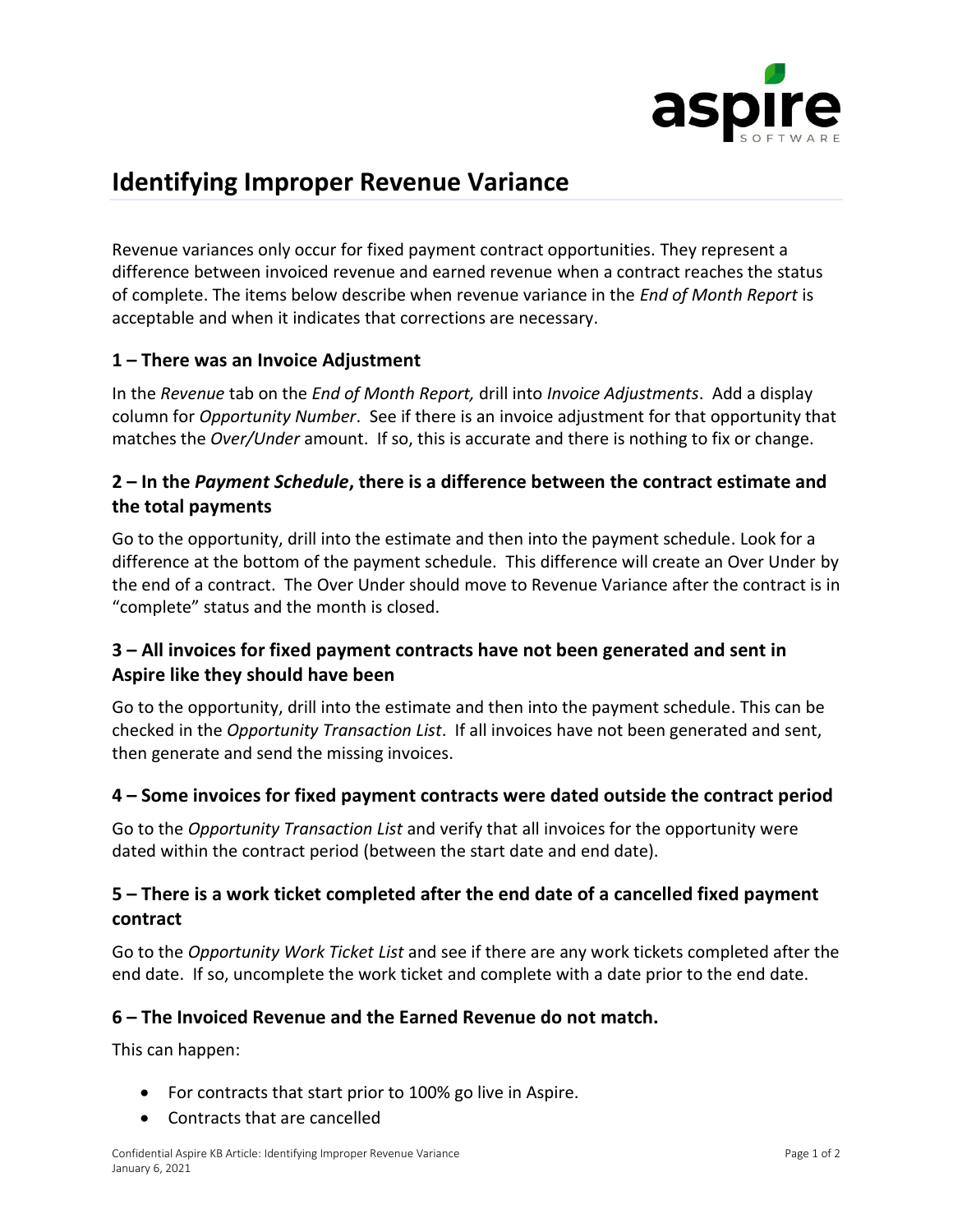

# **Identifying Improper Revenue Variance**

Revenue variances only occur for fixed payment contract opportunities. They represent a difference between invoiced revenue and earned revenue when a contract reaches the status of complete. The items below describe when revenue variance in the *End of Month Report* is acceptable and when it indicates that corrections are necessary.

#### **1 – There was an Invoice Adjustment**

In the *Revenue* tab on the *End of Month Report,* drill into *Invoice Adjustments*. Add a display column for *Opportunity Number*. See if there is an invoice adjustment for that opportunity that matches the *Over/Under* amount. If so, this is accurate and there is nothing to fix or change.

# **2 – In the** *Payment Schedule***, there is a difference between the contract estimate and the total payments**

Go to the opportunity, drill into the estimate and then into the payment schedule. Look for a difference at the bottom of the payment schedule. This difference will create an Over Under by the end of a contract. The Over Under should move to Revenue Variance after the contract is in "complete" status and the month is closed.

# **3 – All invoices for fixed payment contracts have not been generated and sent in Aspire like they should have been**

Go to the opportunity, drill into the estimate and then into the payment schedule. This can be checked in the *Opportunity Transaction List*. If all invoices have not been generated and sent, then generate and send the missing invoices.

#### **4 – Some invoices for fixed payment contracts were dated outside the contract period**

Go to the *Opportunity Transaction List* and verify that all invoices for the opportunity were dated within the contract period (between the start date and end date).

### **5 – There is a work ticket completed after the end date of a cancelled fixed payment contract**

Go to the *Opportunity Work Ticket List* and see if there are any work tickets completed after the end date. If so, uncomplete the work ticket and complete with a date prior to the end date.

#### **6 – The Invoiced Revenue and the Earned Revenue do not match.**

This can happen:

- For contracts that start prior to 100% go live in Aspire.
- Contracts that are cancelled